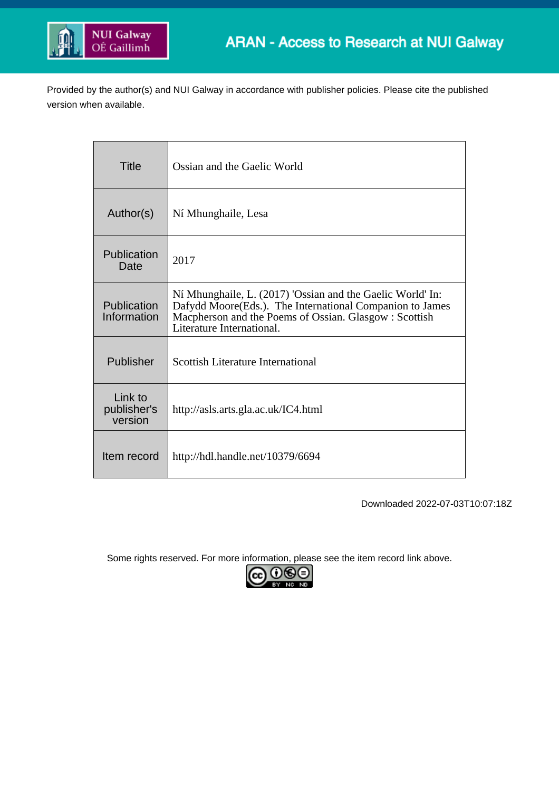

Provided by the author(s) and NUI Galway in accordance with publisher policies. Please cite the published version when available.

| <b>Title</b>                      | Ossian and the Gaelic World                                                                                                                                                                                   |
|-----------------------------------|---------------------------------------------------------------------------------------------------------------------------------------------------------------------------------------------------------------|
| Author(s)                         | Ní Mhunghaile, Lesa                                                                                                                                                                                           |
| Publication<br>Date               | 2017                                                                                                                                                                                                          |
| Publication<br>Information        | Ní Mhunghaile, L. (2017) 'Ossian and the Gaelic World' In:<br>Dafydd Moore(Eds.). The International Companion to James<br>Macpherson and the Poems of Ossian. Glasgow : Scottish<br>Literature International. |
| Publisher                         | Scottish Literature International                                                                                                                                                                             |
| Link to<br>publisher's<br>version | http://asls.arts.gla.ac.uk/IC4.html                                                                                                                                                                           |
| Item record                       | http://hdl.handle.net/10379/6694                                                                                                                                                                              |

Downloaded 2022-07-03T10:07:18Z

Some rights reserved. For more information, please see the item record link above.

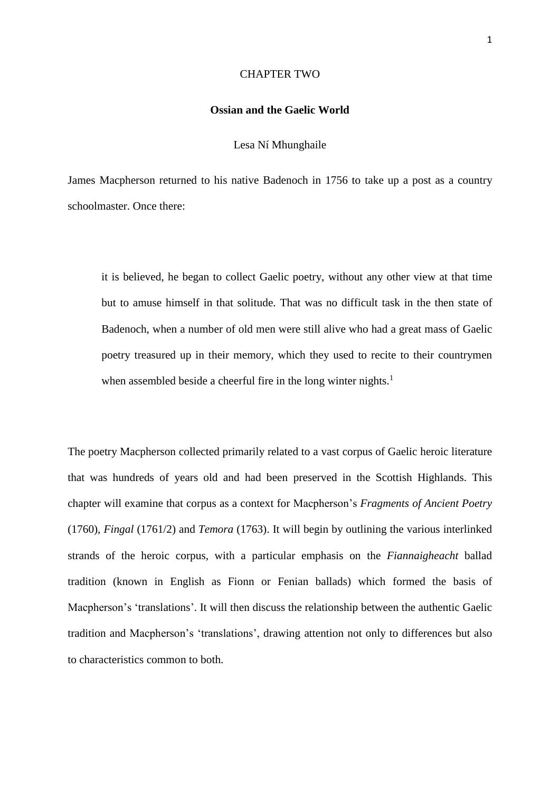#### CHAPTER TWO

# **Ossian and the Gaelic World**

#### Lesa Ní Mhunghaile

James Macpherson returned to his native Badenoch in 1756 to take up a post as a country schoolmaster. Once there:

it is believed, he began to collect Gaelic poetry, without any other view at that time but to amuse himself in that solitude. That was no difficult task in the then state of Badenoch, when a number of old men were still alive who had a great mass of Gaelic poetry treasured up in their memory, which they used to recite to their countrymen when assembled beside a cheerful fire in the long winter nights.<sup>1</sup>

The poetry Macpherson collected primarily related to a vast corpus of Gaelic heroic literature that was hundreds of years old and had been preserved in the Scottish Highlands. This chapter will examine that corpus as a context for Macpherson's *Fragments of Ancient Poetry* (1760), *Fingal* (1761/2) and *Temora* (1763). It will begin by outlining the various interlinked strands of the heroic corpus, with a particular emphasis on the *Fiannaigheacht* ballad tradition (known in English as Fionn or Fenian ballads) which formed the basis of Macpherson's 'translations'. It will then discuss the relationship between the authentic Gaelic tradition and Macpherson's 'translations', drawing attention not only to differences but also to characteristics common to both.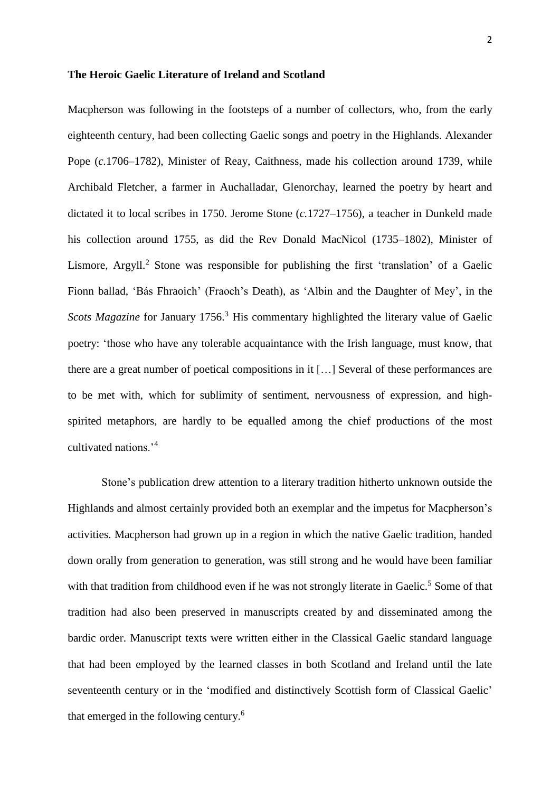## **The Heroic Gaelic Literature of Ireland and Scotland**

Macpherson was following in the footsteps of a number of collectors, who, from the early eighteenth century, had been collecting Gaelic songs and poetry in the Highlands. Alexander Pope (*c.*1706–1782), Minister of Reay, Caithness, made his collection around 1739, while Archibald Fletcher, a farmer in Auchalladar, Glenorchay, learned the poetry by heart and dictated it to local scribes in 1750. Jerome Stone (*c.*1727–1756), a teacher in Dunkeld made his collection around 1755, as did the Rev Donald MacNicol (1735–1802), Minister of Lismore, Argyll.<sup>2</sup> Stone was responsible for publishing the first 'translation' of a Gaelic Fionn ballad, 'Bás Fhraoich' (Fraoch's Death), as 'Albin and the Daughter of Mey', in the *Scots Magazine* for January 1756.<sup>3</sup> His commentary highlighted the literary value of Gaelic poetry: 'those who have any tolerable acquaintance with the Irish language, must know, that there are a great number of poetical compositions in it […] Several of these performances are to be met with, which for sublimity of sentiment, nervousness of expression, and highspirited metaphors, are hardly to be equalled among the chief productions of the most cultivated nations.'<sup>4</sup>

Stone's publication drew attention to a literary tradition hitherto unknown outside the Highlands and almost certainly provided both an exemplar and the impetus for Macpherson's activities. Macpherson had grown up in a region in which the native Gaelic tradition, handed down orally from generation to generation, was still strong and he would have been familiar with that tradition from childhood even if he was not strongly literate in Gaelic.<sup>5</sup> Some of that tradition had also been preserved in manuscripts created by and disseminated among the bardic order. Manuscript texts were written either in the Classical Gaelic standard language that had been employed by the learned classes in both Scotland and Ireland until the late seventeenth century or in the 'modified and distinctively Scottish form of Classical Gaelic' that emerged in the following century. 6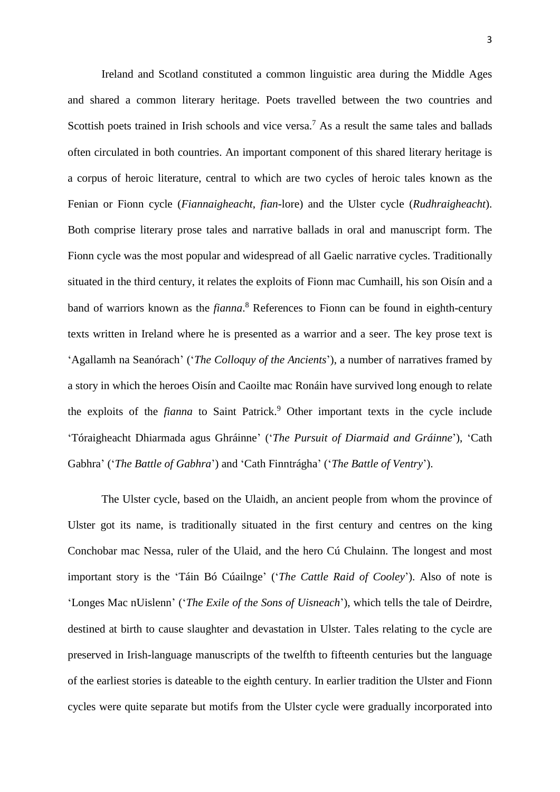Ireland and Scotland constituted a common linguistic area during the Middle Ages and shared a common literary heritage. Poets travelled between the two countries and Scottish poets trained in Irish schools and vice versa.<sup>7</sup> As a result the same tales and ballads often circulated in both countries. An important component of this shared literary heritage is a corpus of heroic literature, central to which are two cycles of heroic tales known as the Fenian or Fionn cycle (*Fiannaigheacht*, *fian*-lore) and the Ulster cycle (*Rudhraigheacht*). Both comprise literary prose tales and narrative ballads in oral and manuscript form. The Fionn cycle was the most popular and widespread of all Gaelic narrative cycles. Traditionally situated in the third century, it relates the exploits of Fionn mac Cumhaill, his son Oisín and a band of warriors known as the *fianna*. <sup>8</sup> References to Fionn can be found in eighth-century texts written in Ireland where he is presented as a warrior and a seer. The key prose text is 'Agallamh na Seanórach' ('*The Colloquy of the Ancients*'), a number of narratives framed by a story in which the heroes Oisín and Caoilte mac Ronáin have survived long enough to relate the exploits of the *fianna* to Saint Patrick. <sup>9</sup> Other important texts in the cycle include 'Tóraigheacht Dhiarmada agus Ghráinne' ('*The Pursuit of Diarmaid and Gráinne*'), 'Cath Gabhra' ('*The Battle of Gabhra*') and 'Cath Finntrágha' ('*The Battle of Ventry*').

The Ulster cycle, based on the Ulaidh, an ancient people from whom the province of Ulster got its name, is traditionally situated in the first century and centres on the king Conchobar mac Nessa, ruler of the Ulaid, and the hero Cú Chulainn. The longest and most important story is the 'Táin Bó Cúailnge' ('*The Cattle Raid of Cooley*'). Also of note is 'Longes Mac nUislenn' ('*The Exile of the Sons of Uisneach*'), which tells the tale of Deirdre, destined at birth to cause slaughter and devastation in Ulster. Tales relating to the cycle are preserved in Irish-language manuscripts of the twelfth to fifteenth centuries but the language of the earliest stories is dateable to the eighth century. In earlier tradition the Ulster and Fionn cycles were quite separate but motifs from the Ulster cycle were gradually incorporated into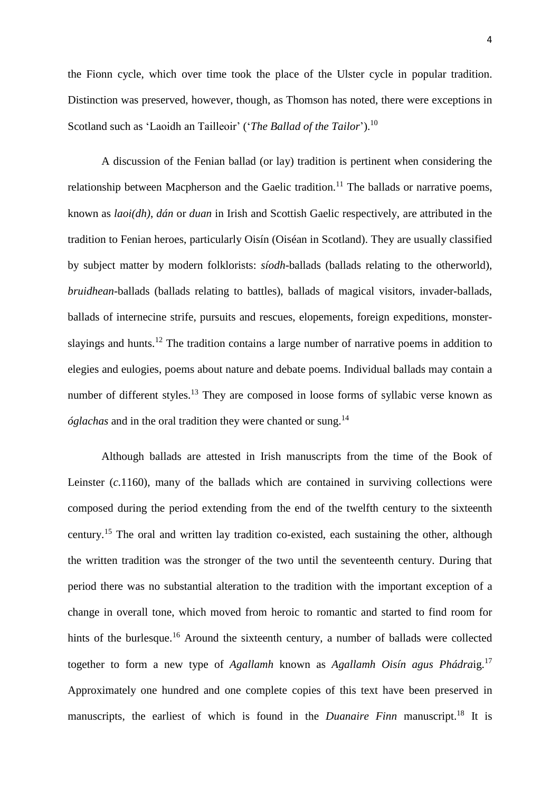the Fionn cycle, which over time took the place of the Ulster cycle in popular tradition. Distinction was preserved, however, though, as Thomson has noted, there were exceptions in Scotland such as 'Laoidh an Tailleoir' ('*The Ballad of the Tailor*'). 10

A discussion of the Fenian ballad (or lay) tradition is pertinent when considering the relationship between Macpherson and the Gaelic tradition.<sup>11</sup> The ballads or narrative poems, known as *laoi(dh)*, *dán* or *duan* in Irish and Scottish Gaelic respectively, are attributed in the tradition to Fenian heroes, particularly Oisín (Oiséan in Scotland). They are usually classified by subject matter by modern folklorists: *síodh*-ballads (ballads relating to the otherworld), *bruidhean*-ballads (ballads relating to battles), ballads of magical visitors, invader-ballads, ballads of internecine strife, pursuits and rescues, elopements, foreign expeditions, monsterslayings and hunts.<sup>12</sup> The tradition contains a large number of narrative poems in addition to elegies and eulogies, poems about nature and debate poems. Individual ballads may contain a number of different styles.<sup>13</sup> They are composed in loose forms of syllabic verse known as *óglachas* and in the oral tradition they were chanted or sung.<sup>14</sup>

Although ballads are attested in Irish manuscripts from the time of the Book of Leinster (*c.*1160), many of the ballads which are contained in surviving collections were composed during the period extending from the end of the twelfth century to the sixteenth century.<sup>15</sup> The oral and written lay tradition co-existed, each sustaining the other, although the written tradition was the stronger of the two until the seventeenth century. During that period there was no substantial alteration to the tradition with the important exception of a change in overall tone, which moved from heroic to romantic and started to find room for hints of the burlesque.<sup>16</sup> Around the sixteenth century, a number of ballads were collected together to form a new type of *Agallamh* known as *Agallamh Oisín agus Phádra*ig. 17 Approximately one hundred and one complete copies of this text have been preserved in manuscripts, the earliest of which is found in the *Duanaire Finn* manuscript.<sup>18</sup> It is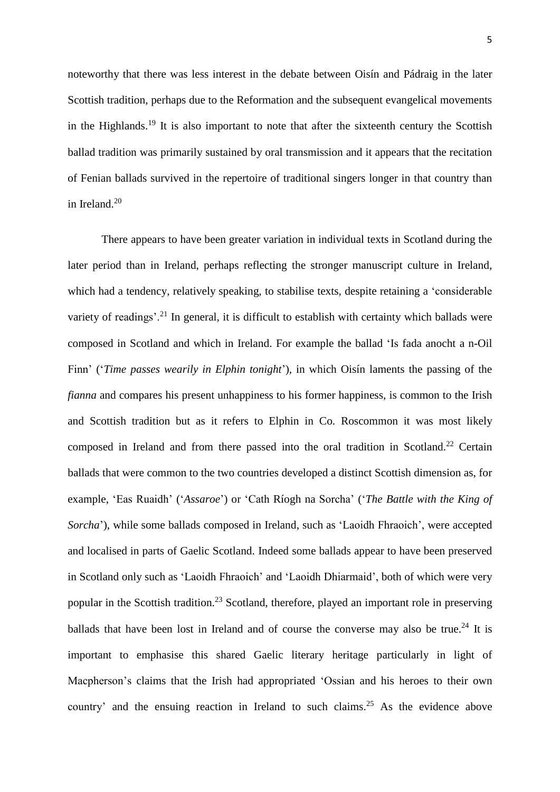noteworthy that there was less interest in the debate between Oisín and Pádraig in the later Scottish tradition, perhaps due to the Reformation and the subsequent evangelical movements in the Highlands.<sup>19</sup> It is also important to note that after the sixteenth century the Scottish ballad tradition was primarily sustained by oral transmission and it appears that the recitation of Fenian ballads survived in the repertoire of traditional singers longer in that country than in Ireland.<sup>20</sup>

There appears to have been greater variation in individual texts in Scotland during the later period than in Ireland, perhaps reflecting the stronger manuscript culture in Ireland, which had a tendency, relatively speaking, to stabilise texts, despite retaining a 'considerable variety of readings'.<sup>21</sup> In general, it is difficult to establish with certainty which ballads were composed in Scotland and which in Ireland. For example the ballad 'Is fada anocht a n-Oil Finn' ('*Time passes wearily in Elphin tonight*'), in which Oisín laments the passing of the *fianna* and compares his present unhappiness to his former happiness, is common to the Irish and Scottish tradition but as it refers to Elphin in Co. Roscommon it was most likely composed in Ireland and from there passed into the oral tradition in Scotland.<sup>22</sup> Certain ballads that were common to the two countries developed a distinct Scottish dimension as, for example, 'Eas Ruaidh' ('*Assaroe*') or 'Cath Ríogh na Sorcha' ('*The Battle with the King of Sorcha*'), while some ballads composed in Ireland, such as 'Laoidh Fhraoich', were accepted and localised in parts of Gaelic Scotland. Indeed some ballads appear to have been preserved in Scotland only such as 'Laoidh Fhraoich' and 'Laoidh Dhiarmaid', both of which were very popular in the Scottish tradition.<sup>23</sup> Scotland, therefore, played an important role in preserving ballads that have been lost in Ireland and of course the converse may also be true.<sup>24</sup> It is important to emphasise this shared Gaelic literary heritage particularly in light of Macpherson's claims that the Irish had appropriated 'Ossian and his heroes to their own country' and the ensuing reaction in Ireland to such claims. <sup>25</sup> As the evidence above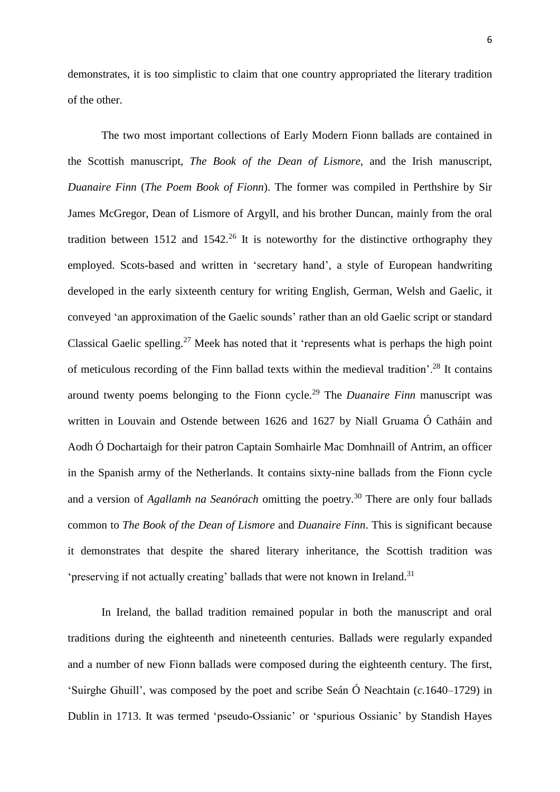demonstrates, it is too simplistic to claim that one country appropriated the literary tradition of the other.

The two most important collections of Early Modern Fionn ballads are contained in the Scottish manuscript, *The Book of the Dean of Lismore*, and the Irish manuscript, *Duanaire Finn* (*The Poem Book of Fionn*). The former was compiled in Perthshire by Sir James McGregor, Dean of Lismore of Argyll, and his brother Duncan, mainly from the oral tradition between 1512 and 1542.<sup>26</sup> It is noteworthy for the distinctive orthography they employed. Scots-based and written in 'secretary hand', a style of European handwriting developed in the early sixteenth century for writing English, German, Welsh and Gaelic, it conveyed 'an approximation of the Gaelic sounds' rather than an old Gaelic script or standard Classical Gaelic spelling.<sup>27</sup> Meek has noted that it 'represents what is perhaps the high point of meticulous recording of the Finn ballad texts within the medieval tradition'.<sup>28</sup> It contains around twenty poems belonging to the Fionn cycle.<sup>29</sup> The *Duanaire Finn* manuscript was written in Louvain and Ostende between 1626 and 1627 by Niall Gruama Ó Catháin and Aodh Ó Dochartaigh for their patron Captain Somhairle Mac Domhnaill of Antrim, an officer in the Spanish army of the Netherlands. It contains sixty-nine ballads from the Fionn cycle and a version of *Agallamh na Seanórach* omitting the poetry. <sup>30</sup> There are only four ballads common to *The Book of the Dean of Lismore* and *Duanaire Finn*. This is significant because it demonstrates that despite the shared literary inheritance, the Scottish tradition was 'preserving if not actually creating' ballads that were not known in Ireland.<sup>31</sup>

In Ireland, the ballad tradition remained popular in both the manuscript and oral traditions during the eighteenth and nineteenth centuries. Ballads were regularly expanded and a number of new Fionn ballads were composed during the eighteenth century. The first, 'Suirghe Ghuill', was composed by the poet and scribe Seán Ó Neachtain (*c.*1640–1729) in Dublin in 1713. It was termed 'pseudo-Ossianic' or 'spurious Ossianic' by Standish Hayes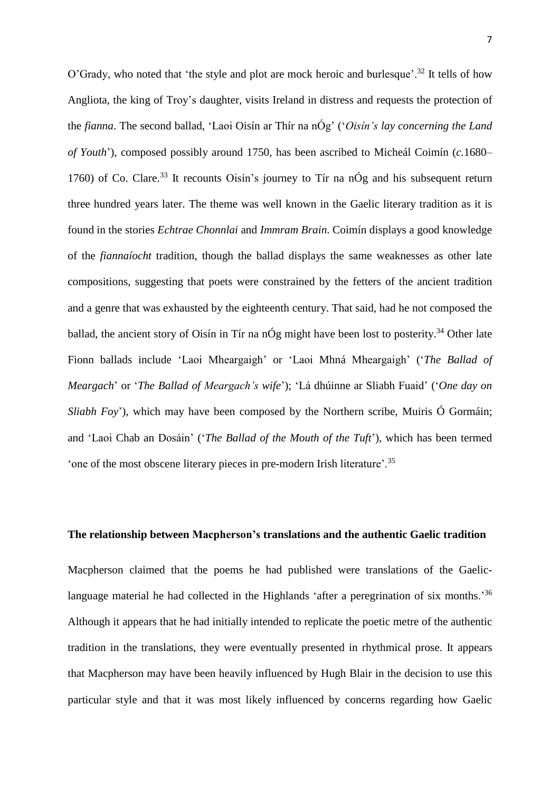O'Grady, who noted that 'the style and plot are mock heroic and burlesque'.<sup>32</sup> It tells of how Angliota, the king of Troy's daughter, visits Ireland in distress and requests the protection of the *fianna*. The second ballad, 'Laoi Oisín ar Thír na nÓg' ('*Oisín's lay concerning the Land of Youth*'), composed possibly around 1750, has been ascribed to Micheál Coimín (*c.*1680– 1760) of Co. Clare.<sup>33</sup> It recounts Oisín's journey to Tír na nÓg and his subsequent return three hundred years later. The theme was well known in the Gaelic literary tradition as it is found in the stories *Echtrae Chonnlai* and *Immram Brain*. Coimín displays a good knowledge of the *fiannaíocht* tradition, though the ballad displays the same weaknesses as other late compositions, suggesting that poets were constrained by the fetters of the ancient tradition and a genre that was exhausted by the eighteenth century. That said, had he not composed the ballad, the ancient story of Oisín in Tír na nÓg might have been lost to posterity.<sup>34</sup> Other late Fionn ballads include 'Laoi Mheargaigh' or 'Laoi Mhná Mheargaigh' ('*The Ballad of Meargach*' or '*The Ballad of Meargach's wife*'); 'Lá dhúinne ar Sliabh Fuaid' ('*One day on Sliabh Foy*'), which may have been composed by the Northern scribe, Muiris Ó Gormáin; and 'Laoi Chab an Dosáin' ('*The Ballad of the Mouth of the Tuft*'), which has been termed 'one of the most obscene literary pieces in pre-modern Irish literature'.<sup>35</sup>

# **The relationship between Macpherson's translations and the authentic Gaelic tradition**

Macpherson claimed that the poems he had published were translations of the Gaeliclanguage material he had collected in the Highlands 'after a peregrination of six months.<sup>36</sup> Although it appears that he had initially intended to replicate the poetic metre of the authentic tradition in the translations, they were eventually presented in rhythmical prose. It appears that Macpherson may have been heavily influenced by Hugh Blair in the decision to use this particular style and that it was most likely influenced by concerns regarding how Gaelic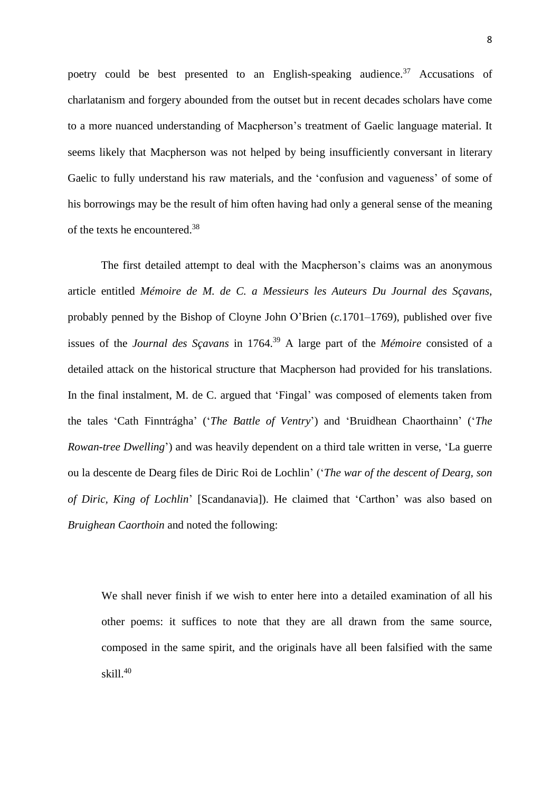poetry could be best presented to an English-speaking audience.<sup>37</sup> Accusations of charlatanism and forgery abounded from the outset but in recent decades scholars have come to a more nuanced understanding of Macpherson's treatment of Gaelic language material. It seems likely that Macpherson was not helped by being insufficiently conversant in literary Gaelic to fully understand his raw materials, and the 'confusion and vagueness' of some of his borrowings may be the result of him often having had only a general sense of the meaning of the texts he encountered. 38

The first detailed attempt to deal with the Macpherson's claims was an anonymous article entitled *Mémoire de M. de C. a Messieurs les Auteurs Du Journal des Sçavans*, probably penned by the Bishop of Cloyne John O'Brien (*c.*1701–1769), published over five issues of the *Journal des Sçavans* in 1764. <sup>39</sup> A large part of the *Mémoire* consisted of a detailed attack on the historical structure that Macpherson had provided for his translations. In the final instalment, M. de C. argued that 'Fingal' was composed of elements taken from the tales 'Cath Finntrágha' ('*The Battle of Ventry*') and 'Bruidhean Chaorthainn' ('*The Rowan-tree Dwelling*') and was heavily dependent on a third tale written in verse, 'La guerre ou la descente de Dearg files de Diric Roi de Lochlin' ('*The war of the descent of Dearg, son of Diric, King of Lochlin*' [Scandanavia]). He claimed that 'Carthon' was also based on *Bruighean Caorthoin* and noted the following:

We shall never finish if we wish to enter here into a detailed examination of all his other poems: it suffices to note that they are all drawn from the same source, composed in the same spirit, and the originals have all been falsified with the same skill.<sup>40</sup>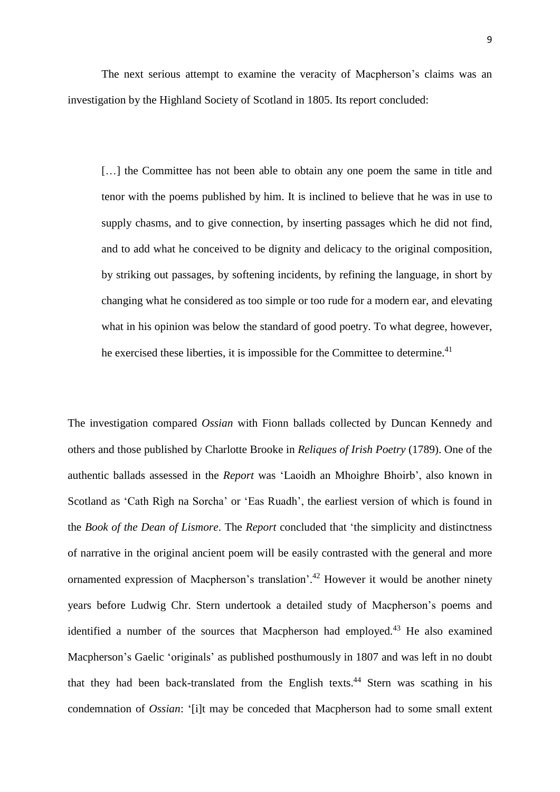The next serious attempt to examine the veracity of Macpherson's claims was an investigation by the Highland Society of Scotland in 1805. Its report concluded:

[...] the Committee has not been able to obtain any one poem the same in title and tenor with the poems published by him. It is inclined to believe that he was in use to supply chasms, and to give connection, by inserting passages which he did not find, and to add what he conceived to be dignity and delicacy to the original composition, by striking out passages, by softening incidents, by refining the language, in short by changing what he considered as too simple or too rude for a modern ear, and elevating what in his opinion was below the standard of good poetry. To what degree, however, he exercised these liberties, it is impossible for the Committee to determine.<sup>41</sup>

The investigation compared *Ossian* with Fionn ballads collected by Duncan Kennedy and others and those published by Charlotte Brooke in *Reliques of Irish Poetry* (1789). One of the authentic ballads assessed in the *Report* was 'Laoidh an Mhoighre Bhoirb', also known in Scotland as 'Cath Rìgh na Sorcha' or 'Eas Ruadh', the earliest version of which is found in the *Book of the Dean of Lismore*. The *Report* concluded that 'the simplicity and distinctness of narrative in the original ancient poem will be easily contrasted with the general and more ornamented expression of Macpherson's translation'.<sup>42</sup> However it would be another ninety years before Ludwig Chr. Stern undertook a detailed study of Macpherson's poems and identified a number of the sources that Macpherson had employed.<sup>43</sup> He also examined Macpherson's Gaelic 'originals' as published posthumously in 1807 and was left in no doubt that they had been back-translated from the English texts.<sup>44</sup> Stern was scathing in his condemnation of *Ossian*: '[i]t may be conceded that Macpherson had to some small extent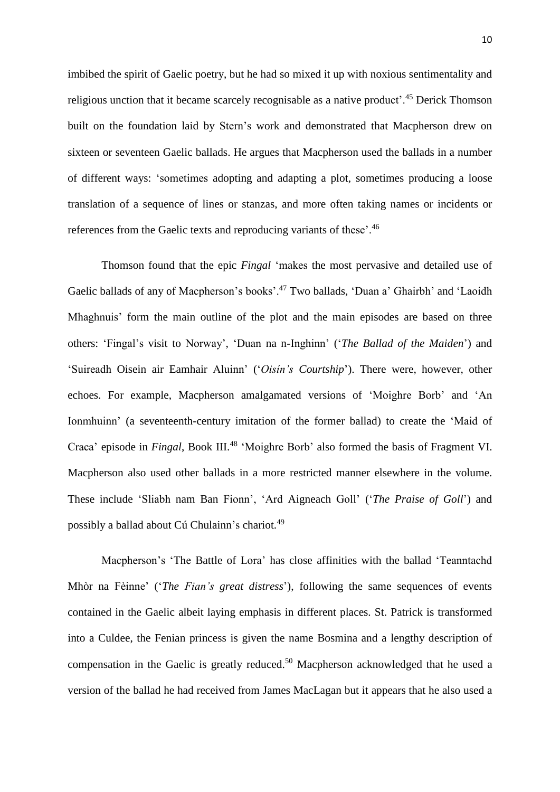imbibed the spirit of Gaelic poetry, but he had so mixed it up with noxious sentimentality and religious unction that it became scarcely recognisable as a native product<sup>', 45</sup> Derick Thomson built on the foundation laid by Stern's work and demonstrated that Macpherson drew on sixteen or seventeen Gaelic ballads. He argues that Macpherson used the ballads in a number of different ways: 'sometimes adopting and adapting a plot, sometimes producing a loose translation of a sequence of lines or stanzas, and more often taking names or incidents or references from the Gaelic texts and reproducing variants of these'.<sup>46</sup>

Thomson found that the epic *Fingal* 'makes the most pervasive and detailed use of Gaelic ballads of any of Macpherson's books'.<sup>47</sup> Two ballads, 'Duan a' Ghairbh' and 'Laoidh Mhaghnuis' form the main outline of the plot and the main episodes are based on three others: 'Fingal's visit to Norway', 'Duan na n-Inghinn' ('*The Ballad of the Maiden*') and 'Suireadh Oisein air Eamhair Aluinn' ('*Oisín's Courtship*'). There were, however, other echoes. For example, Macpherson amalgamated versions of 'Moighre Borb' and 'An Ionmhuinn' (a seventeenth-century imitation of the former ballad) to create the 'Maid of Craca' episode in *Fingal*, Book III.<sup>48</sup> 'Moighre Borb' also formed the basis of Fragment VI. Macpherson also used other ballads in a more restricted manner elsewhere in the volume. These include 'Sliabh nam Ban Fionn', 'Ard Aigneach Goll' ('*The Praise of Goll*') and possibly a ballad about Cú Chulainn's chariot.<sup>49</sup>

Macpherson's 'The Battle of Lora' has close affinities with the ballad 'Teanntachd Mhòr na Fèinne' ('*The Fian's great distress*'), following the same sequences of events contained in the Gaelic albeit laying emphasis in different places. St. Patrick is transformed into a Culdee, the Fenian princess is given the name Bosmina and a lengthy description of compensation in the Gaelic is greatly reduced.<sup>50</sup> Macpherson acknowledged that he used a version of the ballad he had received from James MacLagan but it appears that he also used a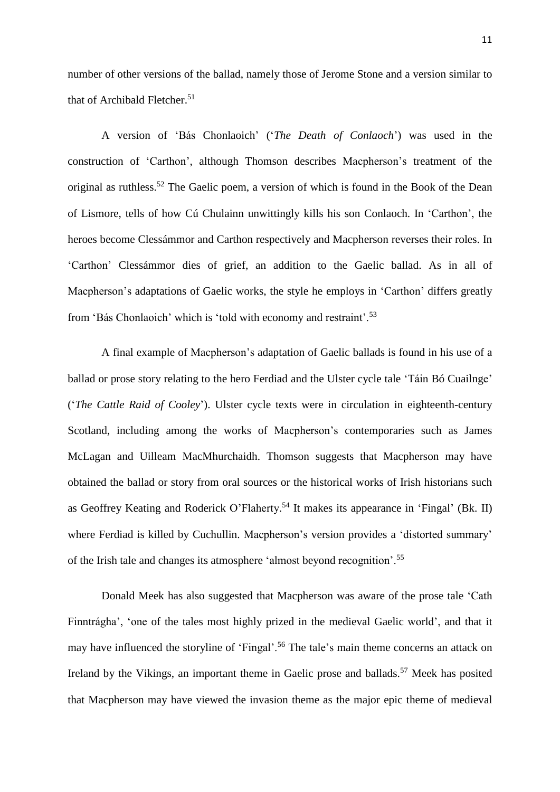number of other versions of the ballad, namely those of Jerome Stone and a version similar to that of Archibald Fletcher.<sup>51</sup>

A version of 'Bás Chonlaoich' ('*The Death of Conlaoch*') was used in the construction of 'Carthon', although Thomson describes Macpherson's treatment of the original as ruthless.<sup>52</sup> The Gaelic poem, a version of which is found in the Book of the Dean of Lismore, tells of how Cú Chulainn unwittingly kills his son Conlaoch. In 'Carthon', the heroes become Clessámmor and Carthon respectively and Macpherson reverses their roles. In 'Carthon' Clessámmor dies of grief, an addition to the Gaelic ballad. As in all of Macpherson's adaptations of Gaelic works, the style he employs in 'Carthon' differs greatly from 'Bás Chonlaoich' which is 'told with economy and restraint'.<sup>53</sup>

A final example of Macpherson's adaptation of Gaelic ballads is found in his use of a ballad or prose story relating to the hero Ferdiad and the Ulster cycle tale 'Táin Bó Cuailnge' ('*The Cattle Raid of Cooley*'). Ulster cycle texts were in circulation in eighteenth-century Scotland, including among the works of Macpherson's contemporaries such as James McLagan and Uilleam MacMhurchaidh. Thomson suggests that Macpherson may have obtained the ballad or story from oral sources or the historical works of Irish historians such as Geoffrey Keating and Roderick O'Flaherty. <sup>54</sup> It makes its appearance in 'Fingal' (Bk. II) where Ferdiad is killed by Cuchullin. Macpherson's version provides a 'distorted summary' of the Irish tale and changes its atmosphere 'almost beyond recognition'.<sup>55</sup>

Donald Meek has also suggested that Macpherson was aware of the prose tale 'Cath Finntrágha', 'one of the tales most highly prized in the medieval Gaelic world', and that it may have influenced the storyline of 'Fingal'.<sup>56</sup> The tale's main theme concerns an attack on Ireland by the Vikings, an important theme in Gaelic prose and ballads.<sup>57</sup> Meek has posited that Macpherson may have viewed the invasion theme as the major epic theme of medieval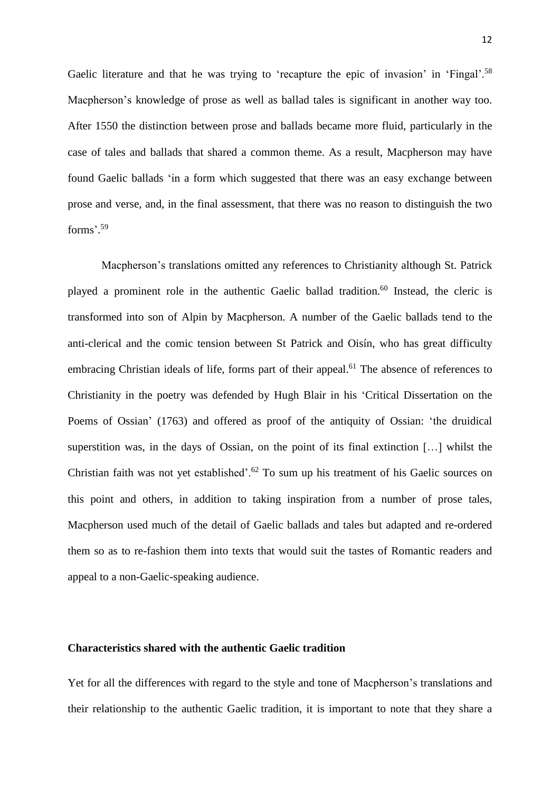Gaelic literature and that he was trying to 'recapture the epic of invasion' in 'Fingal'.<sup>58</sup> Macpherson's knowledge of prose as well as ballad tales is significant in another way too. After 1550 the distinction between prose and ballads became more fluid, particularly in the case of tales and ballads that shared a common theme. As a result, Macpherson may have found Gaelic ballads 'in a form which suggested that there was an easy exchange between prose and verse, and, in the final assessment, that there was no reason to distinguish the two forms'. 59

Macpherson's translations omitted any references to Christianity although St. Patrick played a prominent role in the authentic Gaelic ballad tradition.<sup>60</sup> Instead, the cleric is transformed into son of Alpin by Macpherson. A number of the Gaelic ballads tend to the anti-clerical and the comic tension between St Patrick and Oisín, who has great difficulty embracing Christian ideals of life, forms part of their appeal.<sup>61</sup> The absence of references to Christianity in the poetry was defended by Hugh Blair in his 'Critical Dissertation on the Poems of Ossian' (1763) and offered as proof of the antiquity of Ossian: 'the druidical superstition was, in the days of Ossian, on the point of its final extinction […] whilst the Christian faith was not yet established'.<sup>62</sup> To sum up his treatment of his Gaelic sources on this point and others, in addition to taking inspiration from a number of prose tales, Macpherson used much of the detail of Gaelic ballads and tales but adapted and re-ordered them so as to re-fashion them into texts that would suit the tastes of Romantic readers and appeal to a non-Gaelic-speaking audience.

## **Characteristics shared with the authentic Gaelic tradition**

Yet for all the differences with regard to the style and tone of Macpherson's translations and their relationship to the authentic Gaelic tradition, it is important to note that they share a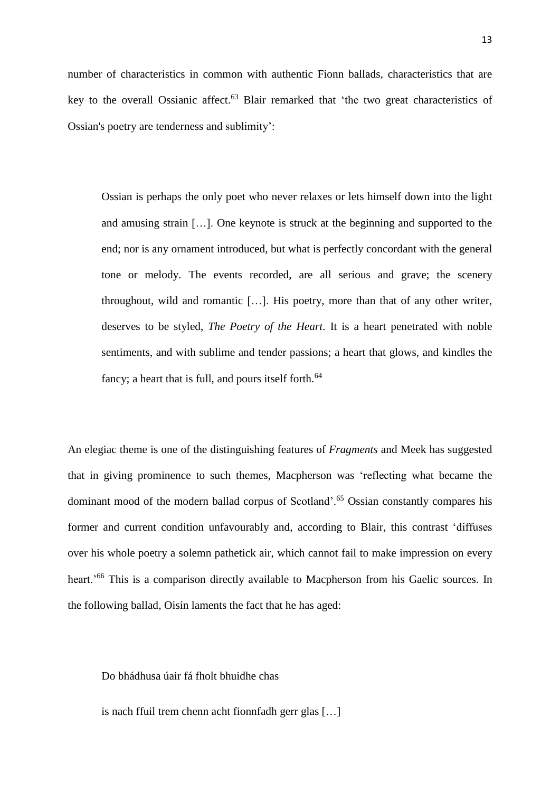number of characteristics in common with authentic Fionn ballads, characteristics that are key to the overall Ossianic affect.<sup>63</sup> Blair remarked that 'the two great characteristics of Ossian's poetry are tenderness and sublimity':

Ossian is perhaps the only poet who never relaxes or lets himself down into the light and amusing strain […]. One keynote is struck at the beginning and supported to the end; nor is any ornament introduced, but what is perfectly concordant with the general tone or melody. The events recorded, are all serious and grave; the scenery throughout, wild and romantic […]. His poetry, more than that of any other writer, deserves to be styled, *The Poetry of the Heart*. It is a heart penetrated with noble sentiments, and with sublime and tender passions; a heart that glows, and kindles the fancy; a heart that is full, and pours itself forth. $64$ 

An elegiac theme is one of the distinguishing features of *Fragments* and Meek has suggested that in giving prominence to such themes, Macpherson was 'reflecting what became the dominant mood of the modern ballad corpus of Scotland'.<sup>65</sup> Ossian constantly compares his former and current condition unfavourably and, according to Blair, this contrast 'diffuses over his whole poetry a solemn pathetick air, which cannot fail to make impression on every heart.'<sup>66</sup> This is a comparison directly available to Macpherson from his Gaelic sources. In the following ballad, Oisín laments the fact that he has aged:

Do bhádhusa úair fá fholt bhuidhe chas

is nach ffuil trem chenn acht fionnfadh gerr glas […]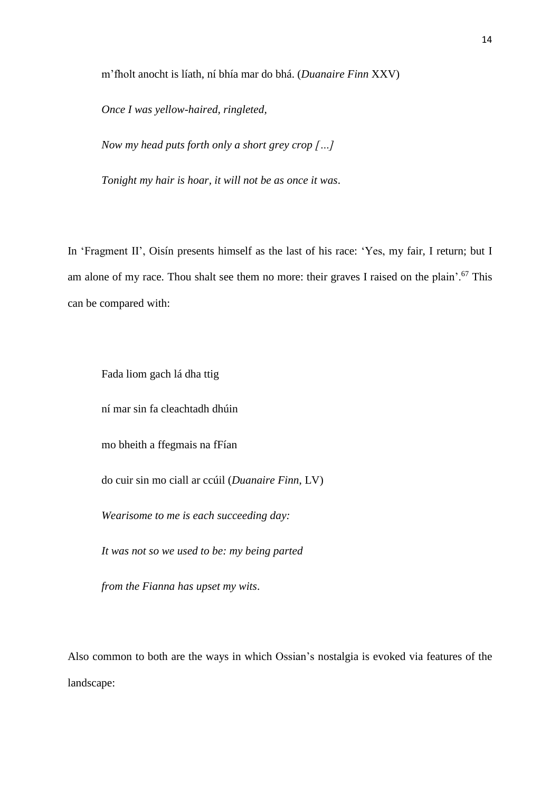m'fholt anocht is líath, ní bhía mar do bhá. (*Duanaire Finn* XXV)

*Once I was yellow-haired, ringleted,*

*Now my head puts forth only a short grey crop […]*

*Tonight my hair is hoar, it will not be as once it was*.

In 'Fragment II', Oisín presents himself as the last of his race: 'Yes, my fair, I return; but I am alone of my race. Thou shalt see them no more: their graves I raised on the plain'.<sup>67</sup> This can be compared with:

Fada liom gach lá dha ttig

ní mar sin fa cleachtadh dhúin

mo bheith a ffegmais na fFían

do cuir sin mo ciall ar ccúil (*Duanaire Finn*, LV)

*Wearisome to me is each succeeding day:*

*It was not so we used to be: my being parted*

*from the Fianna has upset my wits*.

Also common to both are the ways in which Ossian's nostalgia is evoked via features of the landscape: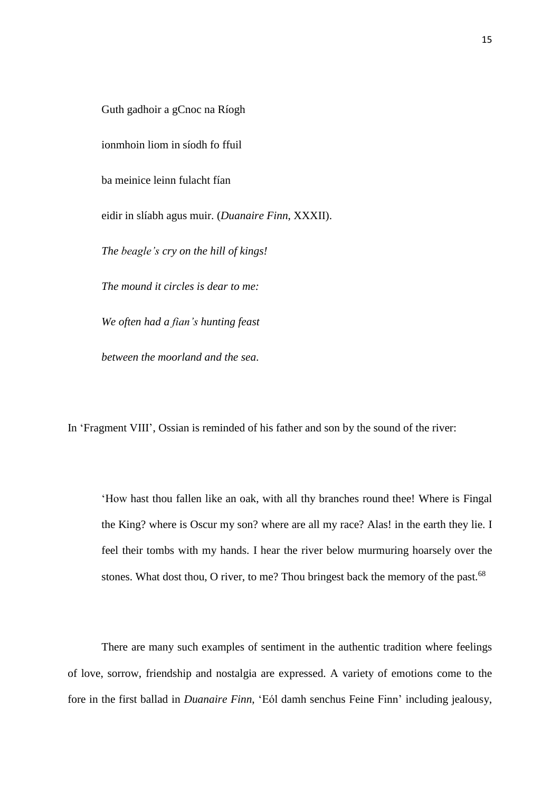Guth gadhoir a gCnoc na Ríogh

ionmhoin liom in síodh fo ffuil

ba meinice leinn fulacht fían

eidir in slíabh agus muir. (*Duanaire Finn*, XXXII).

*The beagle's cry on the hill of kings!*

*The mound it circles is dear to me:*

*We often had a fian's hunting feast*

*between the moorland and the sea*.

In 'Fragment VIII', Ossian is reminded of his father and son by the sound of the river:

'How hast thou fallen like an oak, with all thy branches round thee! Where is Fingal the King? where is Oscur my son? where are all my race? Alas! in the earth they lie. I feel their tombs with my hands. I hear the river below murmuring hoarsely over the stones. What dost thou, O river, to me? Thou bringest back the memory of the past.<sup>68</sup>

There are many such examples of sentiment in the authentic tradition where feelings of love, sorrow, friendship and nostalgia are expressed. A variety of emotions come to the fore in the first ballad in *Duanaire Finn*, 'Eól damh senchus Feine Finn' including jealousy,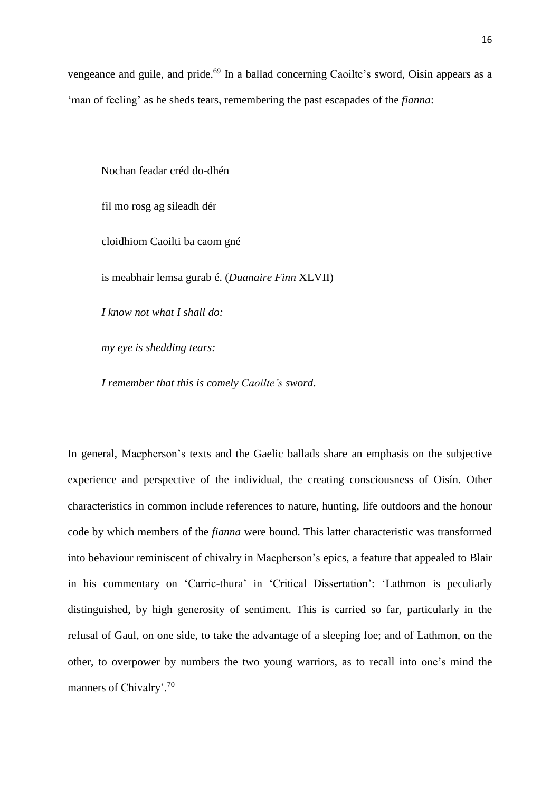vengeance and guile, and pride.<sup>69</sup> In a ballad concerning Caoilte's sword, Oisín appears as a 'man of feeling' as he sheds tears, remembering the past escapades of the *fianna*:

Nochan feadar créd do-dhén

fil mo rosg ag sileadh dér

cloidhiom Caoilti ba caom gné

is meabhair lemsa gurab é. (*Duanaire Finn* XLVII)

*I know not what I shall do:*

*my eye is shedding tears:*

*I remember that this is comely Caoilte's sword*.

In general, Macpherson's texts and the Gaelic ballads share an emphasis on the subjective experience and perspective of the individual, the creating consciousness of Oisín. Other characteristics in common include references to nature, hunting, life outdoors and the honour code by which members of the *fianna* were bound. This latter characteristic was transformed into behaviour reminiscent of chivalry in Macpherson's epics, a feature that appealed to Blair in his commentary on 'Carric-thura' in 'Critical Dissertation': 'Lathmon is peculiarly distinguished, by high generosity of sentiment. This is carried so far, particularly in the refusal of Gaul, on one side, to take the advantage of a sleeping foe; and of Lathmon, on the other, to overpower by numbers the two young warriors, as to recall into one's mind the manners of Chivalry'.<sup>70</sup>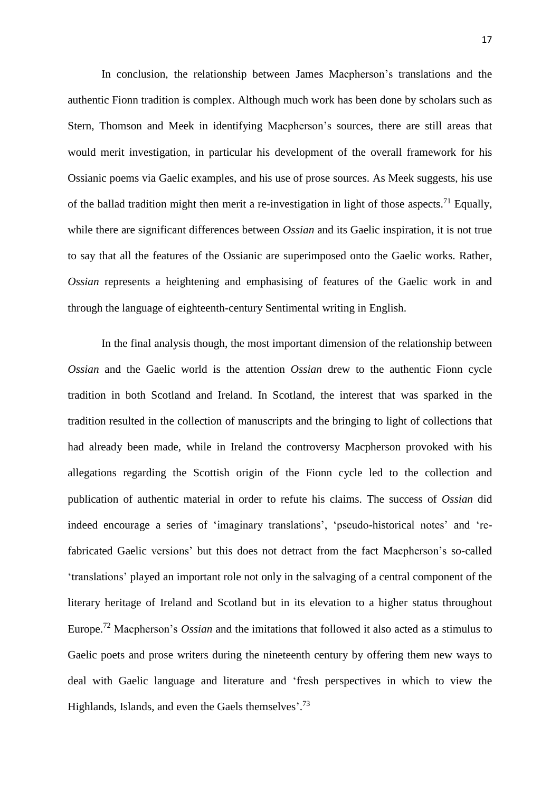In conclusion, the relationship between James Macpherson's translations and the authentic Fionn tradition is complex. Although much work has been done by scholars such as Stern, Thomson and Meek in identifying Macpherson's sources, there are still areas that would merit investigation, in particular his development of the overall framework for his Ossianic poems via Gaelic examples, and his use of prose sources. As Meek suggests, his use of the ballad tradition might then merit a re-investigation in light of those aspects.<sup>71</sup> Equally, while there are significant differences between *Ossian* and its Gaelic inspiration, it is not true to say that all the features of the Ossianic are superimposed onto the Gaelic works. Rather, *Ossian* represents a heightening and emphasising of features of the Gaelic work in and through the language of eighteenth-century Sentimental writing in English.

In the final analysis though, the most important dimension of the relationship between *Ossian* and the Gaelic world is the attention *Ossian* drew to the authentic Fionn cycle tradition in both Scotland and Ireland. In Scotland, the interest that was sparked in the tradition resulted in the collection of manuscripts and the bringing to light of collections that had already been made, while in Ireland the controversy Macpherson provoked with his allegations regarding the Scottish origin of the Fionn cycle led to the collection and publication of authentic material in order to refute his claims. The success of *Ossian* did indeed encourage a series of 'imaginary translations', 'pseudo-historical notes' and 'refabricated Gaelic versions' but this does not detract from the fact Macpherson's so-called 'translations' played an important role not only in the salvaging of a central component of the literary heritage of Ireland and Scotland but in its elevation to a higher status throughout Europe. <sup>72</sup> Macpherson's *Ossian* and the imitations that followed it also acted as a stimulus to Gaelic poets and prose writers during the nineteenth century by offering them new ways to deal with Gaelic language and literature and 'fresh perspectives in which to view the Highlands, Islands, and even the Gaels themselves'.<sup>73</sup>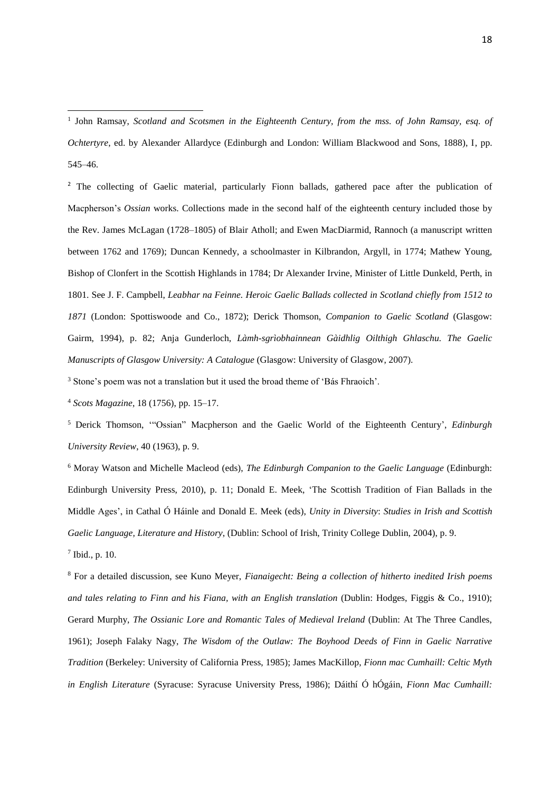<sup>2</sup> The collecting of Gaelic material, particularly Fionn ballads, gathered pace after the publication of Macpherson's *Ossian* works. Collections made in the second half of the eighteenth century included those by the Rev. James McLagan (1728–1805) of Blair Atholl; and Ewen MacDiarmid, Rannoch (a manuscript written between 1762 and 1769); Duncan Kennedy, a schoolmaster in Kilbrandon, Argyll, in 1774; Mathew Young, Bishop of Clonfert in the Scottish Highlands in 1784; Dr Alexander Irvine, Minister of Little Dunkeld, Perth, in 1801. See J. F. Campbell, *Leabhar na Feinne. Heroic Gaelic Ballads collected in Scotland chiefly from 1512 to 1871* (London: Spottiswoode and Co., 1872); Derick Thomson, *Companion to Gaelic Scotland* (Glasgow: Gairm, 1994), p. 82; Anja Gunderloch, *Làmh-sgrìobhainnean Gàidhlig Oilthigh Ghlaschu. The Gaelic Manuscripts of Glasgow University: A Catalogue* (Glasgow: University of Glasgow, 2007).

<sup>3</sup> Stone's poem was not a translation but it used the broad theme of 'Bás Fhraoich'.

<sup>4</sup> *Scots Magazine*, 18 (1756), pp. 15–17.

<sup>5</sup> Derick Thomson, '"Ossian" Macpherson and the Gaelic World of the Eighteenth Century', *Edinburgh University Review*, 40 (1963), p. 9.

<sup>6</sup> Moray Watson and Michelle Macleod (eds), *The Edinburgh Companion to the Gaelic Language* (Edinburgh: Edinburgh University Press, 2010), p. 11; Donald E. Meek, 'The Scottish Tradition of Fian Ballads in the Middle Ages', in Cathal Ó Háinle and Donald E. Meek (eds), *Unity in Diversity*: *Studies in Irish and Scottish Gaelic Language, Literature and History*, (Dublin: School of Irish, Trinity College Dublin, 2004), p. 9.

7 Ibid., p. 10.

1

<sup>8</sup> For a detailed discussion, see Kuno Meyer, *Fianaigecht: Being a collection of hitherto inedited Irish poems and tales relating to Finn and his Fiana, with an English translation* (Dublin: Hodges, Figgis & Co., 1910); Gerard Murphy, *The Ossianic Lore and Romantic Tales of Medieval Ireland* (Dublin: At The Three Candles, 1961); Joseph Falaky Nagy, *The Wisdom of the Outlaw: The Boyhood Deeds of Finn in Gaelic Narrative Tradition* (Berkeley: University of California Press, 1985); James MacKillop, *Fionn mac Cumhaill: Celtic Myth in English Literature* (Syracuse: Syracuse University Press, 1986); Dáithí Ó hÓgáin, *Fionn Mac Cumhaill:*

<sup>1</sup> John Ramsay, *Scotland and Scotsmen in the Eighteenth Century, from the mss. of John Ramsay, esq. of Ochtertyre*, ed. by Alexander Allardyce (Edinburgh and London: William Blackwood and Sons, 1888), I, pp. 545–46.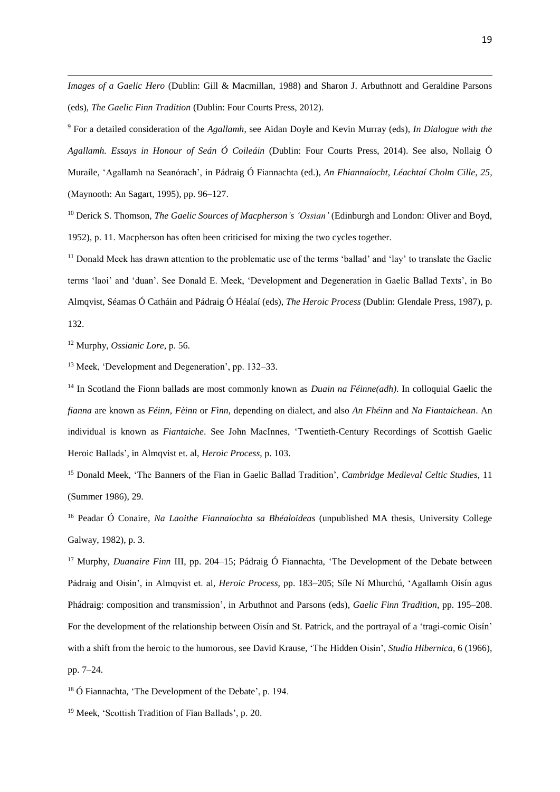*Images of a Gaelic Hero* (Dublin: Gill & Macmillan, 1988) and Sharon J. Arbuthnott and Geraldine Parsons (eds), *The Gaelic Finn Tradition* (Dublin: Four Courts Press, 2012).

<sup>9</sup> For a detailed consideration of the *Agallamh*, see Aidan Doyle and Kevin Murray (eds), *In Dialogue with the Agallamh. Essays in Honour of Seán Ó Coileáin* (Dublin: Four Courts Press, 2014). See also, Nollaig Ó Muraíle, 'Agallamh na Seanórach', in Pádraig Ó Fiannachta (ed.), *An Fhiannaíocht, Léachtaí Cholm Cille, 25,* (Maynooth: An Sagart, 1995), pp. 96–127.

<sup>10</sup> Derick S. Thomson, *The Gaelic Sources of Macpherson's 'Ossian'* (Edinburgh and London: Oliver and Boyd, 1952), p. 11. Macpherson has often been criticised for mixing the two cycles together.

<sup>11</sup> Donald Meek has drawn attention to the problematic use of the terms 'ballad' and 'lay' to translate the Gaelic terms 'laoi' and 'duan'. See Donald E. Meek, 'Development and Degeneration in Gaelic Ballad Texts', in Bo Almqvist, Séamas Ó Catháin and Pádraig Ó Héalaí (eds), *The Heroic Process* (Dublin: Glendale Press, 1987), p. 132.

<sup>12</sup> Murphy, *Ossianic Lore*, p. 56.

1

<sup>13</sup> Meek, 'Development and Degeneration', pp. 132–33.

<sup>14</sup> In Scotland the Fionn ballads are most commonly known as *Duain na Féinne(adh)*. In colloquial Gaelic the *fianna* are known as *Féinn*, *Fèinn* or *Fìnn*, depending on dialect, and also *An Fhéinn* and *Na Fiantaichean*. An individual is known as *Fiantaiche*. See John MacInnes, 'Twentieth-Century Recordings of Scottish Gaelic Heroic Ballads', in Almqvist et. al, *Heroic Process*, p. 103.

<sup>15</sup> Donald Meek, 'The Banners of the Fian in Gaelic Ballad Tradition', *Cambridge Medieval Celtic Studies*, 11 (Summer 1986), 29.

<sup>16</sup> Peadar Ó Conaire, *Na Laoithe Fiannaíochta sa Bhéaloideas* (unpublished MA thesis, University College Galway, 1982), p. 3.

<sup>17</sup> Murphy, *Duanaire Finn* III, pp. 204–15; Pádraig Ó Fiannachta, 'The Development of the Debate between Pádraig and Oisín', in Almqvist et. al, *Heroic Process*, pp. 183–205; Síle Ní Mhurchú, 'Agallamh Oisín agus Phádraig: composition and transmission', in Arbuthnot and Parsons (eds), *Gaelic Finn Tradition*, pp. 195–208. For the development of the relationship between Oisín and St. Patrick, and the portrayal of a 'tragi-comic Oisín' with a shift from the heroic to the humorous, see David Krause, 'The Hidden Oisín', *Studia Hibernica*, 6 (1966), pp. 7–24.

<sup>18</sup> Ó Fiannachta, 'The Development of the Debate', p. 194.

<sup>19</sup> Meek, 'Scottish Tradition of Fian Ballads', p. 20.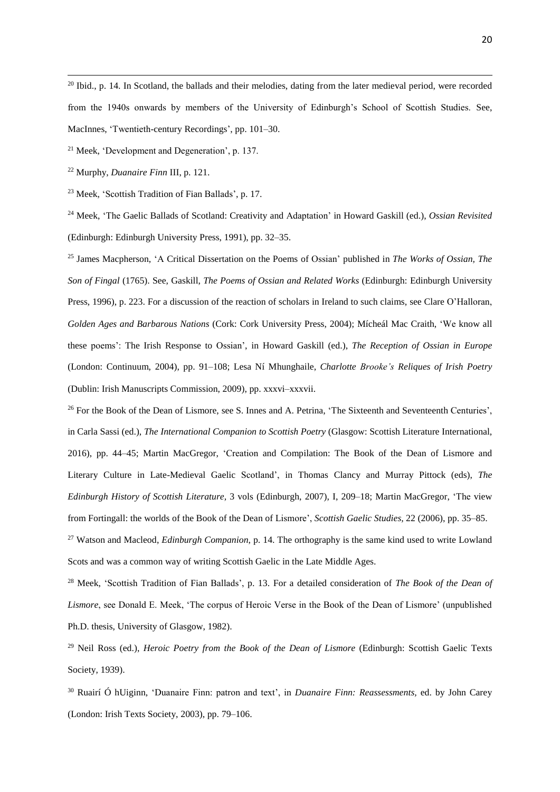<sup>20</sup> Ibid., p. 14. In Scotland, the ballads and their melodies, dating from the later medieval period, were recorded from the 1940s onwards by members of the University of Edinburgh's School of Scottish Studies. See, MacInnes, 'Twentieth-century Recordings', pp. 101–30.

<sup>21</sup> Meek, 'Development and Degeneration', p. 137.

<sup>22</sup> Murphy, *Duanaire Finn* III, p. 121.

1

<sup>23</sup> Meek, 'Scottish Tradition of Fian Ballads', p. 17.

<sup>24</sup> Meek, 'The Gaelic Ballads of Scotland: Creativity and Adaptation' in Howard Gaskill (ed.), *Ossian Revisited* (Edinburgh: Edinburgh University Press, 1991), pp. 32–35.

<sup>25</sup> James Macpherson, 'A Critical Dissertation on the Poems of Ossian' published in *The Works of Ossian, The Son of Fingal* (1765). See, Gaskill, *The Poems of Ossian and Related Works* (Edinburgh: Edinburgh University Press, 1996), p. 223. For a discussion of the reaction of scholars in Ireland to such claims, see Clare O'Halloran, *Golden Ages and Barbarous Nations* (Cork: Cork University Press, 2004); Mícheál Mac Craith, 'We know all these poems': The Irish Response to Ossian', in Howard Gaskill (ed.), *The Reception of Ossian in Europe* (London: Continuum, 2004), pp. 91–108; Lesa Ní Mhunghaile, *Charlotte Brooke's Reliques of Irish Poetry* (Dublin: Irish Manuscripts Commission, 2009), pp. xxxvi–xxxvii.

<sup>26</sup> For the Book of the Dean of Lismore, see S. Innes and A. Petrina, 'The Sixteenth and Seventeenth Centuries', in Carla Sassi (ed.), *The International Companion to Scottish Poetry* (Glasgow: Scottish Literature International, 2016), pp. 44–45; Martin MacGregor, 'Creation and Compilation: The Book of the Dean of Lismore and Literary Culture in Late-Medieval Gaelic Scotland', in Thomas Clancy and Murray Pittock (eds), *The Edinburgh History of Scottish Literature,* 3 vols (Edinburgh, 2007), I, 209–18; Martin MacGregor, 'The view from Fortingall: the worlds of the Book of the Dean of Lismore', *Scottish Gaelic Studies,* 22 (2006), pp. 35–85.

<sup>27</sup> Watson and Macleod, *Edinburgh Companion*, p. 14. The [orthography](http://en.wikipedia.org/wiki/Orthography) is the same kind used to write [Lowland](http://en.wikipedia.org/wiki/Scots_language) [Scots](http://en.wikipedia.org/wiki/Scots_language) and was a common way of writing [Scottish](http://en.wikipedia.org/wiki/Scottish_Gaelic) Gaelic in the Late [Middle](http://en.wikipedia.org/wiki/Scotland_in_the_Late_Middle_Ages) Ages.

<sup>28</sup> Meek, 'Scottish Tradition of Fian Ballads', p. 13. For a detailed consideration of *The Book of the Dean of Lismore*, see Donald E. Meek, 'The corpus of Heroic Verse in the Book of the Dean of Lismore' (unpublished Ph.D. thesis, University of Glasgow, 1982).

<sup>29</sup> Neil Ross (ed.), *Heroic Poetry from the Book of the Dean of Lismore* (Edinburgh: Scottish Gaelic Texts Society, 1939).

<sup>30</sup> Ruairí Ó hUiginn, 'Duanaire Finn: patron and text', in *Duanaire Finn: Reassessments,* ed. by John Carey (London: Irish Texts Society, 2003), pp. 79–106.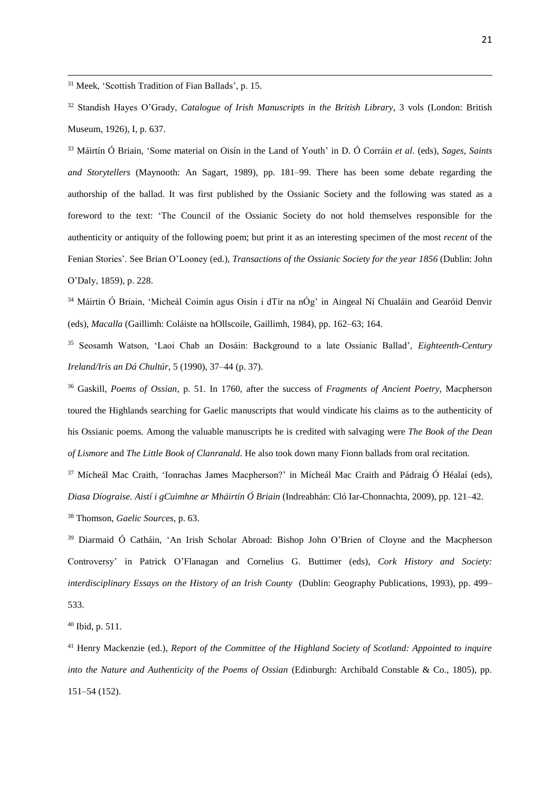<sup>31</sup> Meek, 'Scottish Tradition of Fian Ballads', p. 15.

1

<sup>32</sup> Standish Hayes O'Grady, *Catalogue of Irish Manuscripts in the British Library*, 3 vols (London: British Museum, 1926), I, p. 637.

<sup>33</sup> Máirtín Ó Briain, 'Some material on Oisín in the Land of Youth' in D. Ó Corráin *et al*. (eds), *Sages, Saints and Storytellers* (Maynooth: An Sagart, 1989), pp. 181–99. There has been some debate regarding the authorship of the ballad. It was first published by the Ossianic Society and the following was stated as a foreword to the text: 'The Council of the Ossianic Society do not hold themselves responsible for the authenticity or antiquity of the following poem; but print it as an interesting specimen of the most *recent* of the Fenian Stories'. See Brian O'Looney (ed.), *Transactions of the Ossianic Society for the year 1856* (Dublin: John O'Daly, 1859), p. 228.

<sup>34</sup> Máirtín Ó Briain, 'Micheál Coimín agus Oisín i dTír na nÓg' in Aingeal Ní Chualáin and Gearóid Denvir (eds), *Macalla* (Gaillimh: Coláiste na hOllscoile, Gaillimh, 1984), pp. 162–63; 164.

<sup>35</sup> Seosamh Watson, 'Laoi Chab an Dosáin: Background to a late Ossianic Ballad', *Eighteenth-Century Ireland/Iris an Dá Chultúr*, 5 (1990), 37–44 (p. 37).

<sup>36</sup> Gaskill, *Poems of Ossian*, p. 51. In 1760, after the success of *Fragments of Ancient Poetry*, Macpherson toured the Highlands searching for Gaelic manuscripts that would vindicate his claims as to the authenticity of his Ossianic poems. Among the valuable manuscripts he is credited with salvaging were *The Book of the Dean of Lismore* and *The Little Book of Clanranald*. He also took down many Fionn ballads from oral recitation.

<sup>37</sup> Mícheál Mac Craith, 'Ionrachas James Macpherson?' in Mícheál Mac Craith and Pádraig Ó Héalaí (eds), *Diasa Díograise. Aistí i gCuimhne ar Mháirtín Ó Briain* (Indreabhán: Cló Iar-Chonnachta, 2009), pp. 121–42.

<sup>38</sup> Thomson, *Gaelic Sources*, p. 63.

<sup>39</sup> Diarmaid Ó Catháin, 'An Irish Scholar Abroad: Bishop John O'Brien of Cloyne and the Macpherson Controversy' in Patrick O'Flanagan and Cornelius G. Buttimer (eds), *Cork History and Society: interdisciplinary Essays on the History of an Irish County* (Dublin: Geography Publications, 1993), pp. 499– 533.

<sup>40</sup> Ibid, p. 511.

<sup>41</sup> Henry Mackenzie (ed.), *Report of the Committee of the Highland Society of Scotland: Appointed to inquire into the Nature and Authenticity of the Poems of Ossian (Edinburgh: Archibald Constable & Co., 1805), pp.* 151–54 (152).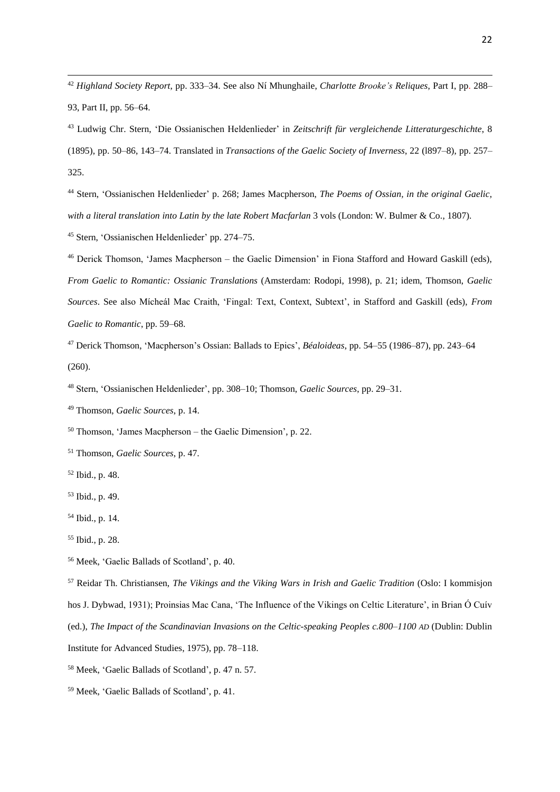*Highland Society Report*, pp. 333–34. See also Ní Mhunghaile, *Charlotte Brooke's Reliques*, Part I, pp. 288– 93, Part II, pp. 56–64.

 Stern, 'Ossianischen Heldenlieder' p. 268; James Macpherson, *The Poems of Ossian, in the original Gaelic, with a literal translation into Latin by the late Robert Macfarlan* 3 vols (London: W. Bulmer & Co., 1807).

Stern, 'Ossianischen Heldenlieder' pp. 274–75.

 Derick Thomson, 'James Macpherson – the Gaelic Dimension' in Fiona Stafford and Howard Gaskill (eds), *From Gaelic to Romantic: Ossianic Translations* (Amsterdam: Rodopi, 1998), p. 21; idem, Thomson, *Gaelic Sources*. See also Mícheál Mac Craith, 'Fingal: Text, Context, Subtext', in Stafford and Gaskill (eds), *From Gaelic to Romantic*, pp. 59–68.

 Derick Thomson, 'Macpherson's Ossian: Ballads to Epics', *Béaloideas*, pp. 54–55 (1986–87), pp. 243–64 (260).

Stern, 'Ossianischen Heldenlieder', pp. 308–10; Thomson, *Gaelic Sources*, pp. 29–31.

Thomson, *Gaelic Sources*, p. 14.

Thomson, 'James Macpherson – the Gaelic Dimension', p. 22.

Thomson, *Gaelic Sources*, p. 47.

Ibid., p. 48.

Ibid., p. 49.

Ibid., p. 14.

Meek, 'Gaelic Ballads of Scotland', p. 40.

 Reidar Th. Christiansen, *The Vikings and the Viking Wars in Irish and Gaelic Tradition* (Oslo: I kommisjon hos J. Dybwad, 1931); Proinsias Mac Cana, 'The Influence of the Vikings on Celtic Literature', in Brian Ó Cuív (ed.), *The Impact of the Scandinavian Invasions on the Celtic-speaking Peoples c.800–1100 AD* (Dublin: Dublin Institute for Advanced Studies, 1975), pp. 78–118.

Meek, 'Gaelic Ballads of Scotland', p. 47 n. 57.

Meek, 'Gaelic Ballads of Scotland', p. 41.

 Ludwig Chr. Stern, 'Die Ossianischen Heldenlieder' in *Zeitschrift für vergleichende Litteraturgeschichte*, 8 (1895), pp. 50–86, 143–74. Translated in *Transactions of the Gaelic Society of Inverness*, 22 (l897–8), pp. 257– 325.

Ibid., p. 28.